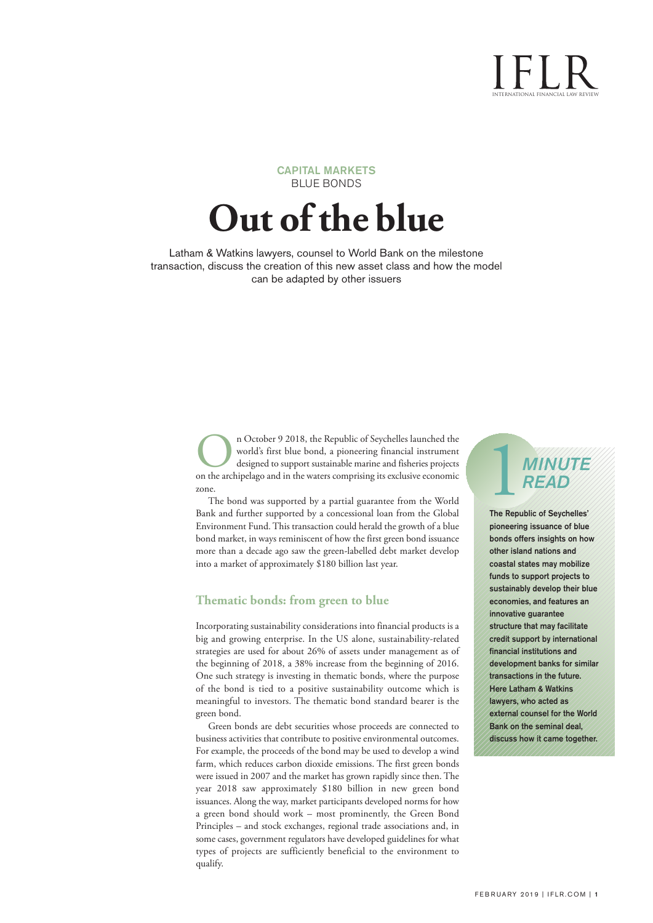# international financial law review

#### CAPITAL MARKETS BLUE BONDS

# **Out of the blue**

Latham & Watkins lawyers, counsel to World Bank on the milestone transaction, discuss the creation of this new asset class and how the model can be adapted by other issuers

> n October 9 2018, the Republic of Seychelles launched the world's first blue bond, a pioneering financial instrument designed to support sustainable marine and fisheries projects on the archipelago and in the waters compri world's first blue bond, a pioneering financial instrument designed to support sustainable marine and fisheries projects zone.

> The bond was supported by a partial guarantee from the World Bank and further supported by a concessional loan from the Global Environment Fund.This transaction could herald the growth of a blue bond market, in ways reminiscent of how the first green bond issuance more than a decade ago saw the green-labelled debt market develop into a market of approximately \$180 billion last year.

#### **Thematic bonds: from green to blue**

Incorporating sustainability considerations into financial products is a big and growing enterprise. In the US alone, sustainability-related strategies are used for about 26% of assets under management as of the beginning of 2018, a 38% increase from the beginning of 2016. One such strategy is investing in thematic bonds, where the purpose of the bond is tied to a positive sustainability outcome which is meaningful to investors. The thematic bond standard bearer is the green bond.

Green bonds are debt securities whose proceeds are connected to business activities that contribute to positive environmental outcomes. For example, the proceeds of the bond may be used to develop a wind farm, which reduces carbon dioxide emissions. The first green bonds were issued in 2007 and the market has grown rapidly since then. The year 2018 saw approximately \$180 billion in new green bond issuances. Along the way, market participants developed norms for how a green bond should work – most prominently, the Green Bond Principles – and stock exchanges, regional trade associations and, in some cases, government regulators have developed guidelines for what types of projects are sufficiently beneficial to the environment to qualify.

## 1*MINUTE READ*

The Republic of Seychelles' pioneering issuance of blue bonds offers insights on how other island nations and coastal states may mobilize funds to support projects to sustainably develop their blue economies, and features an innovative guarantee structure that may facilitate credit support by international financial institutions and development banks for similar transactions in the future. Here Latham & Watkins lawyers, who acted as external counsel for the World Bank on the seminal deal, discuss how it came together.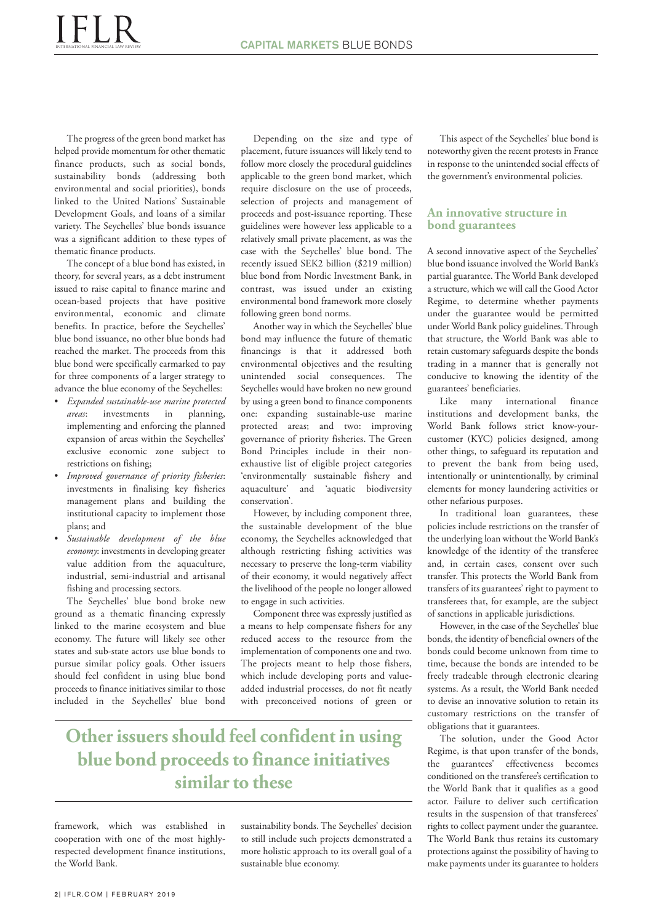The progress of the green bond market has helped provide momentum for other thematic finance products, such as social bonds, sustainability bonds (addressing both environmental and social priorities), bonds linked to the United Nations' Sustainable Development Goals, and loans of a similar variety. The Seychelles' blue bonds issuance was a significant addition to these types of thematic finance products.

The concept of a blue bond has existed, in theory, for several years, as a debt instrument issued to raise capital to finance marine and ocean-based projects that have positive environmental, economic and climate benefits. In practice, before the Seychelles' blue bond issuance, no other blue bonds had reached the market. The proceeds from this blue bond were specifically earmarked to pay for three components of a larger strategy to advance the blue economy of the Seychelles:

- *Expanded sustainable-use marine protected areas*: investments in planning, implementing and enforcing the planned expansion of areas within the Seychelles' exclusive economic zone subject to restrictions on fishing;
- *Improved governance of priority fisheries*: investments in finalising key fisheries management plans and building the institutional capacity to implement those plans; and
- *Sustainable development of the blue economy*: investments in developing greater value addition from the aquaculture, industrial, semi-industrial and artisanal fishing and processing sectors.

The Seychelles' blue bond broke new ground as a thematic financing expressly linked to the marine ecosystem and blue economy. The future will likely see other states and sub-state actors use blue bonds to pursue similar policy goals. Other issuers should feel confident in using blue bond proceeds to finance initiatives similar to those included in the Seychelles' blue bond

Depending on the size and type of placement, future issuances will likely tend to follow more closely the procedural guidelines applicable to the green bond market, which require disclosure on the use of proceeds, selection of projects and management of proceeds and post-issuance reporting. These guidelines were however less applicable to a relatively small private placement, as was the case with the Seychelles' blue bond. The recently issued SEK2 billion (\$219 million) blue bond from Nordic Investment Bank, in contrast, was issued under an existing environmental bond framework more closely following green bond norms.

Another way in which the Seychelles' blue bond may influence the future of thematic financings is that it addressed both environmental objectives and the resulting unintended social consequences. The Seychelles would have broken no new ground by using a green bond to finance components one: expanding sustainable-use marine protected areas; and two: improving governance of priority fisheries. The Green Bond Principles include in their nonexhaustive list of eligible project categories 'environmentally sustainable fishery and aquaculture' and 'aquatic biodiversity conservation'.

However, by including component three, the sustainable development of the blue economy, the Seychelles acknowledged that although restricting fishing activities was necessary to preserve the long-term viability of their economy, it would negatively affect the livelihood of the people no longer allowed to engage in such activities.

Component three was expressly justified as a means to help compensate fishers for any reduced access to the resource from the implementation of components one and two. The projects meant to help those fishers, which include developing ports and valueadded industrial processes, do not fit neatly with preconceived notions of green or

### **Otherissuersshould feel confident in using blue** bond proceeds to finance initiatives **similarto these**

framework, which was established in cooperation with one of the most highlyrespected development finance institutions, the World Bank.

sustainability bonds. The Seychelles' decision to still include such projects demonstrated a more holistic approach to its overall goal of a sustainable blue economy.

This aspect of the Seychelles' blue bond is noteworthy given the recent protests in France in response to the unintended social effects of the government's environmental policies.

#### **An innovative structure in bond guarantees**

A second innovative aspect of the Seychelles' blue bond issuance involved the World Bank's partial guarantee. The World Bank developed a structure, which we will call the Good Actor Regime, to determine whether payments under the guarantee would be permitted under World Bank policy guidelines.Through that structure, the World Bank was able to retain customary safeguards despite the bonds trading in a manner that is generally not conducive to knowing the identity of the guarantees' beneficiaries.

Like many international finance institutions and development banks, the World Bank follows strict know-yourcustomer (KYC) policies designed, among other things, to safeguard its reputation and to prevent the bank from being used, intentionally or unintentionally, by criminal elements for money laundering activities or other nefarious purposes.

In traditional loan guarantees, these policies include restrictions on the transfer of the underlying loan without the World Bank's knowledge of the identity of the transferee and, in certain cases, consent over such transfer. This protects the World Bank from transfers of its guarantees' right to payment to transferees that, for example, are the subject of sanctions in applicable jurisdictions.

However, in the case of the Seychelles' blue bonds, the identity of beneficial owners of the bonds could become unknown from time to time, because the bonds are intended to be freely tradeable through electronic clearing systems. As a result, the World Bank needed to devise an innovative solution to retain its customary restrictions on the transfer of obligations that it guarantees.

The solution, under the Good Actor Regime, is that upon transfer of the bonds, the guarantees' effectiveness becomes conditioned on the transferee's certification to the World Bank that it qualifies as a good actor. Failure to deliver such certification results in the suspension of that transferees' rights to collect payment under the guarantee. The World Bank thus retains its customary protections against the possibility of having to make payments under its guarantee to holders